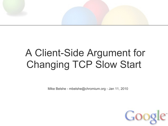

## A Client-Side Argument for Changing TCP Slow Start

Mike Belshe - mbelshe@chromium.org - Jan 11, 2010

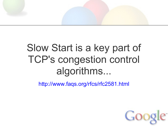

## Slow Start is a key part of TCP's congestion control algorithms...

<http://www.faqs.org/rfcs/rfc2581.html>

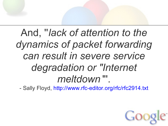# And, ''*lack of attention to the dynamics of packet forwarding can result in severe service degradation or "Internet meltdown* "'.

- Sally Floyd, <http://www.rfc-editor.org/rfc/rfc2914.txt>

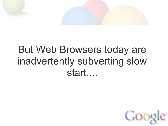

## But Web Browsers today are inadvertently subverting slow start....

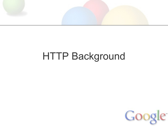

## HTTP Background

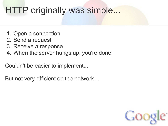### HTTP originally was simple...

- 1. Open a connection
- 2. Send a request
- 3. Receive a response
- 4. When the server hangs up, you're done!

Couldn't be easier to implement...

But not very efficient on the network...

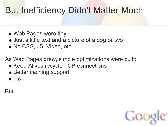#### But Inefficiency Didn't Matter Much

- Web Pages were tiny
- Just a little text and a picture of a dog or two
- No CSS, JS, Video, etc.

As Web Pages grew, simple optimizations were built:

- Keep-Alives recycle TCP connections
- Better caching support
- $\bullet$  etc

But....

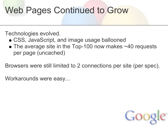### Web Pages Continued to Grow

Technologies evolved.

- CSS, JavaScript, and image usage ballooned
- The average site in the Top-100 now makes ~40 requests per page (uncached)

Browsers were still limited to 2 connections per site (per spec).

Workarounds were easy...

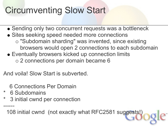## Circumventing Slow Start

- Sending only two concurrent requests was a bottleneck
- Sites seeking speed needed more connections
	- "Subdomain sharding" was invented, since existing browsers would open 2 connections to each subdomain
- Eventually browsers kicked up connection limits 2 connections per domain became 6

And voila! Slow Start is subverted.

6 Connections Per Domain

- \* 6 Subdomains
	- 3 initial cwnd per connection

------ 108 initial cwnd (not exactly what RFC2581 suggests!)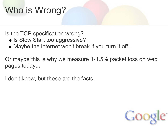## Who is Wrong?

Is the TCP specification wrong?

- Is Slow Start too aggressive?
- Maybe the internet won't break if you turn it off...

Or maybe this is why we measure 1-1.5% packet loss on web pages today...

I don't know, but these are the facts.

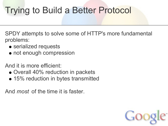## Trying to Build a Better Protocol

SPDY attempts to solve some of HTTP's more fundamental problems:

- serialized requests
- not enough compression

And it is more efficient:

- Overall 40% reduction in packets
- 15% reduction in bytes transmitted

And *most* of the time it is faster.

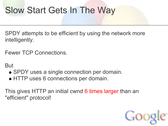### Slow Start Gets In The Way

SPDY attempts to be efficient by using the network more intelligently.

Fewer TCP Connections.

But

- SPDY uses a single connection per domain.
- HTTP uses 6 connections per domain.

This gives HTTP an initial cwnd 6 times larger than an "efficient" protocol!

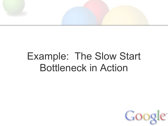

## Example: The Slow Start Bottleneck in Action

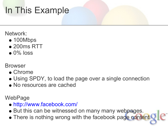## In This Example

#### Network:

- 100Mbps
- 200ms RTT
- $\bullet$  0% loss

#### Browser

- Chrome
- Using SPDY, to load the page over a single connection
- No resources are cached

WebPage

- <http://www.facebook.com/>
- But this can be witnessed on many many webpages.
- There is nothing wrong with the facebook page content.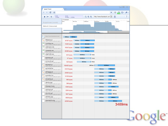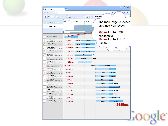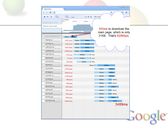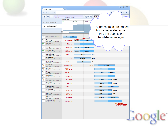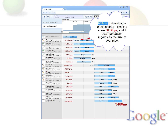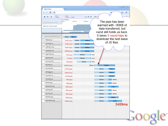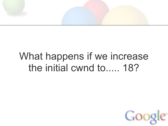

## What happens if we increase the initial cwnd to..... 18?

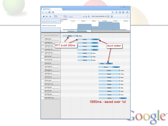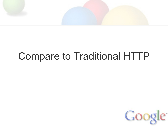

## Compare to Traditional HTTP

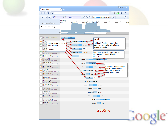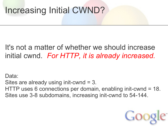### Increasing Initial CWND?

#### It's not a matter of whether we should increase initial cwnd. *For HTTP, it is already increased.*

Data: Sites are already using init-cwnd = 3. HTTP uses 6 connections per domain, enabling init-cwnd = 18. Sites use 3-8 subdomains, increasing init-cwnd to 54-144.

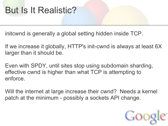#### But Is It Realistic?

initcwnd is generally a global setting hidden inside TCP.

If we increase it globally, HTTP's init-cwnd is always at least 6X larger than it should be.

Even with SPDY, until sites stop using subdomain sharding, effective cwnd is higher than what TCP is attempting to enforce.

Will the internet at large increase their cwnd? Needs a kernel patch at the minimum - possibly a sockets API change.